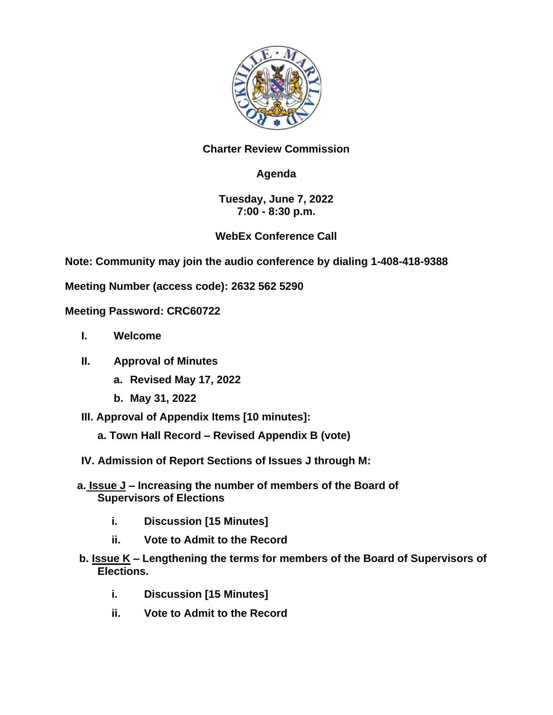

### **Charter Review Commission**

# **Agenda**

### **Tuesday, June 7, 2022 7:00 - 8:30 p.m.**

## **WebEx Conference Call**

**Note: Community may join the audio conference by dialing 1-408-418-9388**

**Meeting Number (access code): 2632 562 5290**

#### **Meeting Password: CRC60722**

- **I. Welcome**
- **II. Approval of Minutes** 
	- **a. Revised May 17, 2022**
	- **b. May 31, 2022**
- **III. Approval of Appendix Items [10 minutes]:**
	- **a. Town Hall Record – Revised Appendix B (vote)**
- **IV. Admission of Report Sections of Issues J through M:**
- **a. Issue J – Increasing the number of members of the Board of Supervisors of Elections**
	- **i. Discussion [15 Minutes]**
	- **ii. Vote to Admit to the Record**
- **b. Issue K – Lengthening the terms for members of the Board of Supervisors of Elections.**
	- **i. Discussion [15 Minutes]**
	- **ii. Vote to Admit to the Record**